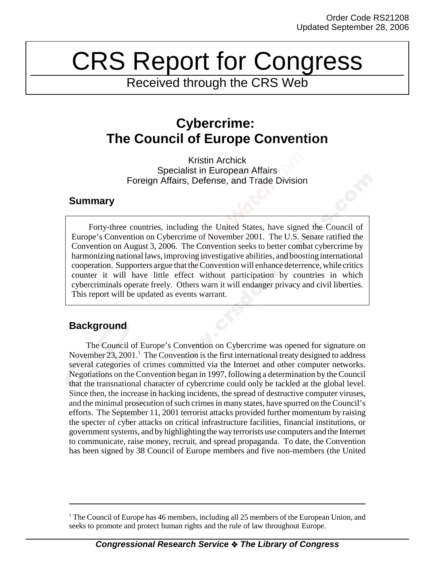# CRS Report for Congress

Received through the CRS Web

## **Cybercrime: The Council of Europe Convention**

Kristin Archick Specialist in European Affairs Foreign Affairs, Defense, and Trade Division

## **Summary**

Forty-three countries, including the United States, have signed the Council of Europe's Convention on Cybercrime of November 2001. The U.S. Senate ratified the Convention on August 3, 2006. The Convention seeks to better combat cybercrime by harmonizing national laws, improving investigative abilities, and boosting international cooperation. Supporters argue that the Convention will enhance deterrence, while critics counter it will have little effect without participation by countries in which cybercriminals operate freely. Others warn it will endanger privacy and civil liberties. This report will be updated as events warrant.

## **Background**

The Council of Europe's Convention on Cybercrime was opened for signature on November 23, 2001.<sup>1</sup> The Convention is the first international treaty designed to address several categories of crimes committed via the Internet and other computer networks. Negotiations on the Convention began in 1997, following a determination by the Council that the transnational character of cybercrime could only be tackled at the global level. Since then, the increase in hacking incidents, the spread of destructive computer viruses, and the minimal prosecution of such crimes in many states, have spurred on the Council's efforts. The September 11, 2001 terrorist attacks provided further momentum by raising the specter of cyber attacks on critical infrastructure facilities, financial institutions, or government systems, and by highlighting the way terrorists use computers and the Internet to communicate, raise money, recruit, and spread propaganda. To date, the Convention has been signed by 38 Council of Europe members and five non-members (the United

<sup>&</sup>lt;sup>1</sup> The Council of Europe has 46 members, including all 25 members of the European Union, and seeks to promote and protect human rights and the rule of law throughout Europe.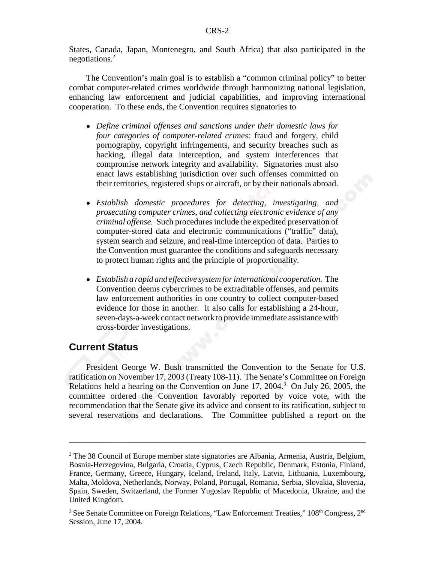States, Canada, Japan, Montenegro, and South Africa) that also participated in the negotiations.2

The Convention's main goal is to establish a "common criminal policy" to better combat computer-related crimes worldwide through harmonizing national legislation, enhancing law enforcement and judicial capabilities, and improving international cooperation. To these ends, the Convention requires signatories to

- ! *Define criminal offenses and sanctions under their domestic laws for four categories of computer-related crimes:* fraud and forgery, child pornography, copyright infringements, and security breaches such as hacking, illegal data interception, and system interferences that compromise network integrity and availability. Signatories must also enact laws establishing jurisdiction over such offenses committed on their territories, registered ships or aircraft, or by their nationals abroad.
- ! *Establish domestic procedures for detecting, investigating, and prosecuting computer crimes, and collecting electronic evidence of any criminal offense.* Such procedures include the expedited preservation of computer-stored data and electronic communications ("traffic" data), system search and seizure, and real-time interception of data. Parties to the Convention must guarantee the conditions and safeguards necessary to protect human rights and the principle of proportionality.
- ! *Establish a rapid and effective system for international cooperation.* The Convention deems cybercrimes to be extraditable offenses, and permits law enforcement authorities in one country to collect computer-based evidence for those in another. It also calls for establishing a 24-hour, seven-days-a-week contact network to provide immediate assistance with cross-border investigations.

#### **Current Status**

President George W. Bush transmitted the Convention to the Senate for U.S. ratification on November 17, 2003 (Treaty 108-11). The Senate's Committee on Foreign Relations held a hearing on the Convention on June  $17, 2004$ .<sup>3</sup> On July 26, 2005, the committee ordered the Convention favorably reported by voice vote, with the recommendation that the Senate give its advice and consent to its ratification, subject to several reservations and declarations. The Committee published a report on the

<sup>&</sup>lt;sup>2</sup> The 38 Council of Europe member state signatories are Albania, Armenia, Austria, Belgium, Bosnia-Herzegovina, Bulgaria, Croatia, Cyprus, Czech Republic, Denmark, Estonia, Finland, France, Germany, Greece, Hungary, Iceland, Ireland, Italy, Latvia, Lithuania, Luxembourg, Malta, Moldova, Netherlands, Norway, Poland, Portugal, Romania, Serbia, Slovakia, Slovenia, Spain, Sweden, Switzerland, the Former Yugoslav Republic of Macedonia, Ukraine, and the United Kingdom.

<sup>&</sup>lt;sup>3</sup> See Senate Committee on Foreign Relations, "Law Enforcement Treaties,"  $108<sup>th</sup>$  Congress,  $2<sup>nd</sup>$ Session, June 17, 2004.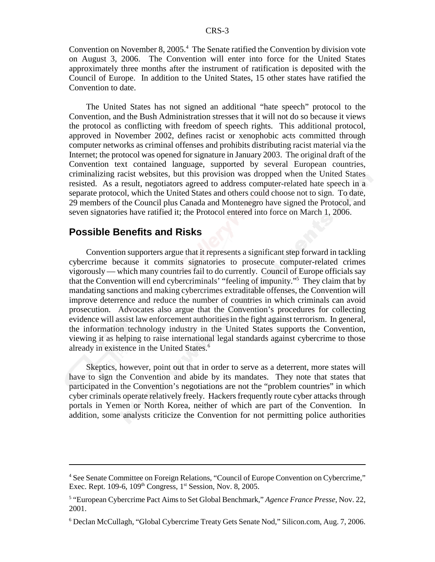Convention on November 8, 2005.<sup>4</sup> The Senate ratified the Convention by division vote on August 3, 2006. The Convention will enter into force for the United States approximately three months after the instrument of ratification is deposited with the Council of Europe. In addition to the United States, 15 other states have ratified the Convention to date.

The United States has not signed an additional "hate speech" protocol to the Convention, and the Bush Administration stresses that it will not do so because it views the protocol as conflicting with freedom of speech rights. This additional protocol, approved in November 2002, defines racist or xenophobic acts committed through computer networks as criminal offenses and prohibits distributing racist material via the Internet; the protocol was opened for signature in January 2003. The original draft of the Convention text contained language, supported by several European countries, criminalizing racist websites, but this provision was dropped when the United States resisted. As a result, negotiators agreed to address computer-related hate speech in a separate protocol, which the United States and others could choose not to sign. To date, 29 members of the Council plus Canada and Montenegro have signed the Protocol, and seven signatories have ratified it; the Protocol entered into force on March 1, 2006.

#### **Possible Benefits and Risks**

Convention supporters argue that it represents a significant step forward in tackling cybercrime because it commits signatories to prosecute computer-related crimes vigorously — which many countries fail to do currently. Council of Europe officials say that the Convention will end cybercriminals' "feeling of impunity."5 They claim that by mandating sanctions and making cybercrimes extraditable offenses, the Convention will improve deterrence and reduce the number of countries in which criminals can avoid prosecution. Advocates also argue that the Convention's procedures for collecting evidence will assist law enforcement authorities in the fight against terrorism. In general, the information technology industry in the United States supports the Convention, viewing it as helping to raise international legal standards against cybercrime to those already in existence in the United States.<sup>6</sup>

Skeptics, however, point out that in order to serve as a deterrent, more states will have to sign the Convention and abide by its mandates. They note that states that participated in the Convention's negotiations are not the "problem countries" in which cyber criminals operate relatively freely. Hackers frequently route cyber attacks through portals in Yemen or North Korea, neither of which are part of the Convention. In addition, some analysts criticize the Convention for not permitting police authorities

<sup>&</sup>lt;sup>4</sup> See Senate Committee on Foreign Relations, "Council of Europe Convention on Cybercrime," Exec. Rept. 109-6,  $109<sup>th</sup> Congress$ ,  $1<sup>st</sup> Session$ , Nov. 8, 2005.

<sup>5</sup> "European Cybercrime Pact Aims to Set Global Benchmark," *Agence France Presse*, Nov. 22, 2001.

<sup>6</sup> Declan McCullagh, "Global Cybercrime Treaty Gets Senate Nod," Silicon.com, Aug. 7, 2006.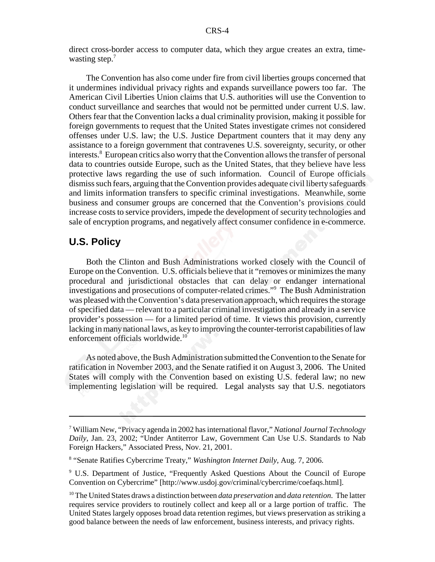direct cross-border access to computer data, which they argue creates an extra, timewasting step.<sup>7</sup>

The Convention has also come under fire from civil liberties groups concerned that it undermines individual privacy rights and expands surveillance powers too far. The American Civil Liberties Union claims that U.S. authorities will use the Convention to conduct surveillance and searches that would not be permitted under current U.S. law. Others fear that the Convention lacks a dual criminality provision, making it possible for foreign governments to request that the United States investigate crimes not considered offenses under U.S. law; the U.S. Justice Department counters that it may deny any assistance to a foreign government that contravenes U.S. sovereignty, security, or other interests.<sup>8</sup> European critics also worry that the Convention allows the transfer of personal data to countries outside Europe, such as the United States, that they believe have less protective laws regarding the use of such information. Council of Europe officials dismiss such fears, arguing that the Convention provides adequate civil liberty safeguards and limits information transfers to specific criminal investigations. Meanwhile, some business and consumer groups are concerned that the Convention's provisions could increase costs to service providers, impede the development of security technologies and sale of encryption programs, and negatively affect consumer confidence in e-commerce.

### **U.S. Policy**

Both the Clinton and Bush Administrations worked closely with the Council of Europe on the Convention. U.S. officials believe that it "removes or minimizes the many procedural and jurisdictional obstacles that can delay or endanger international investigations and prosecutions of computer-related crimes."9 The Bush Administration was pleased with the Convention's data preservation approach, which requires the storage of specified data — relevant to a particular criminal investigation and already in a service provider's possession — for a limited period of time. It views this provision, currently lacking in many national laws, as key to improving the counter-terrorist capabilities of law enforcement officials worldwide.<sup>10</sup>

As noted above, the Bush Administration submitted the Convention to the Senate for ratification in November 2003, and the Senate ratified it on August 3, 2006. The United States will comply with the Convention based on existing U.S. federal law; no new implementing legislation will be required. Legal analysts say that U.S. negotiators

<sup>7</sup> William New, "Privacy agenda in 2002 has international flavor," *National Journal Technology Daily*, Jan. 23, 2002; "Under Antiterror Law, Government Can Use U.S. Standards to Nab Foreign Hackers," Associated Press, Nov. 21, 2001.

<sup>8</sup> "Senate Ratifies Cybercrime Treaty," *Washington Internet Daily*, Aug. 7, 2006.

<sup>&</sup>lt;sup>9</sup> U.S. Department of Justice, "Frequently Asked Questions About the Council of Europe Convention on Cybercrime" [http://www.usdoj.gov/criminal/cybercrime/coefaqs.html].

<sup>10</sup> The United States draws a distinction between *data preservation* and *data retention*. The latter requires service providers to routinely collect and keep all or a large portion of traffic. The United States largely opposes broad data retention regimes, but views preservation as striking a good balance between the needs of law enforcement, business interests, and privacy rights.